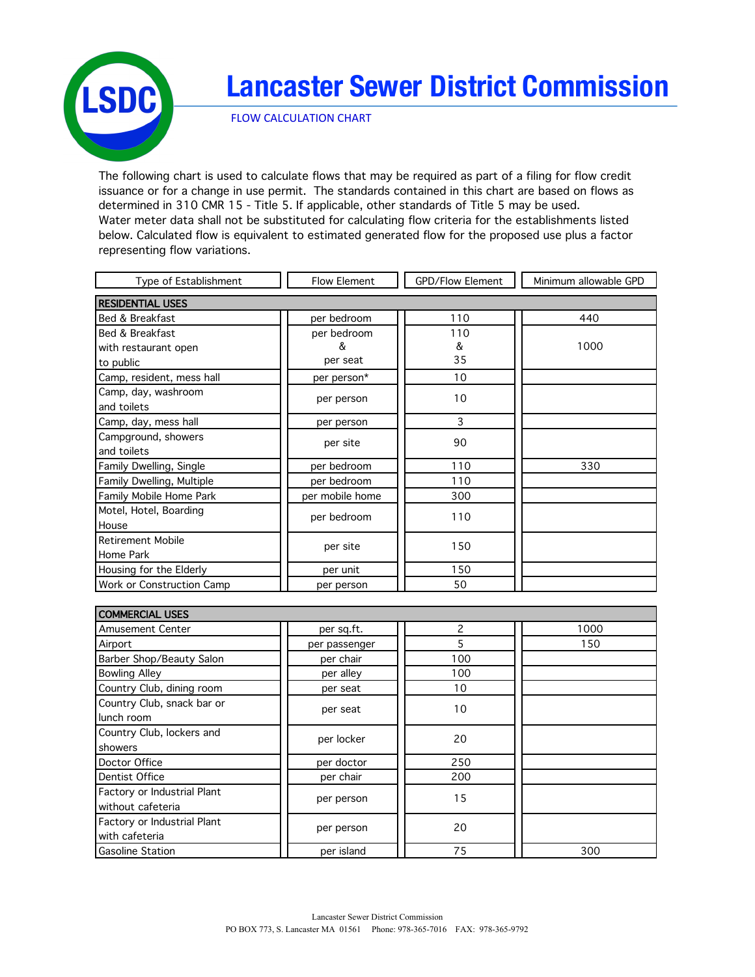

## **Lancaster Sewer District Commission**

**FLOW CALCULATION CHART** 

The following chart is used to calculate flows that may be required as part of a filing for flow credit issuance or for a change in use permit. The standards contained in this chart are based on flows as determined in 310 CMR 15 - Title 5. If applicable, other standards of Title 5 may be used. Water meter data shall not be substituted for calculating flow criteria for the establishments listed below. Calculated flow is equivalent to estimated generated flow for the proposed use plus a factor representing flow variations.

| Type of Establishment     | <b>Flow Element</b> | <b>GPD/Flow Element</b> | Minimum allowable GPD |
|---------------------------|---------------------|-------------------------|-----------------------|
| <b>RESIDENTIAL USES</b>   |                     |                         |                       |
| Bed & Breakfast           | per bedroom         | 110                     | 440                   |
| Bed & Breakfast           | per bedroom         | 110                     |                       |
| with restaurant open      | &                   | &                       | 1000                  |
| to public                 | per seat            | 35                      |                       |
| Camp, resident, mess hall | per person*         | 10                      |                       |
| Camp, day, washroom       | per person          | 10                      |                       |
| and toilets               |                     |                         |                       |
| Camp, day, mess hall      | per person          | 3                       |                       |
| Campground, showers       | per site            | 90                      |                       |
| and toilets               |                     |                         |                       |
| Family Dwelling, Single   | per bedroom         | 110                     | 330                   |
| Family Dwelling, Multiple | per bedroom         | 110                     |                       |
| Family Mobile Home Park   | per mobile home     | 300                     |                       |
| Motel, Hotel, Boarding    | per bedroom         | 110                     |                       |
| House                     |                     |                         |                       |
| <b>Retirement Mobile</b>  | per site            | 150                     |                       |
| Home Park                 |                     |                         |                       |
| Housing for the Elderly   | per unit            | 150                     |                       |
| Work or Construction Camp | per person          | 50                      |                       |

| <b>COMMERCIAL USES</b>                           |               |                          |      |
|--------------------------------------------------|---------------|--------------------------|------|
| <b>Amusement Center</b>                          | per sq.ft.    | $\overline{\phantom{a}}$ | 1000 |
| Airport                                          | per passenger | 5                        | 150  |
| Barber Shop/Beauty Salon                         | per chair     | 100                      |      |
| <b>Bowling Alley</b>                             | per alley     | 100                      |      |
| Country Club, dining room                        | per seat      | 10                       |      |
| Country Club, snack bar or<br>lunch room         | per seat      | 10                       |      |
| Country Club, lockers and<br>showers             | per locker    | 20                       |      |
| Doctor Office                                    | per doctor    | 250                      |      |
| Dentist Office                                   | per chair     | 200                      |      |
| Factory or Industrial Plant<br>without cafeteria | per person    | 15                       |      |
| Factory or Industrial Plant<br>with cafeteria    | per person    | 20                       |      |
| <b>Gasoline Station</b>                          | per island    | 75                       | 300  |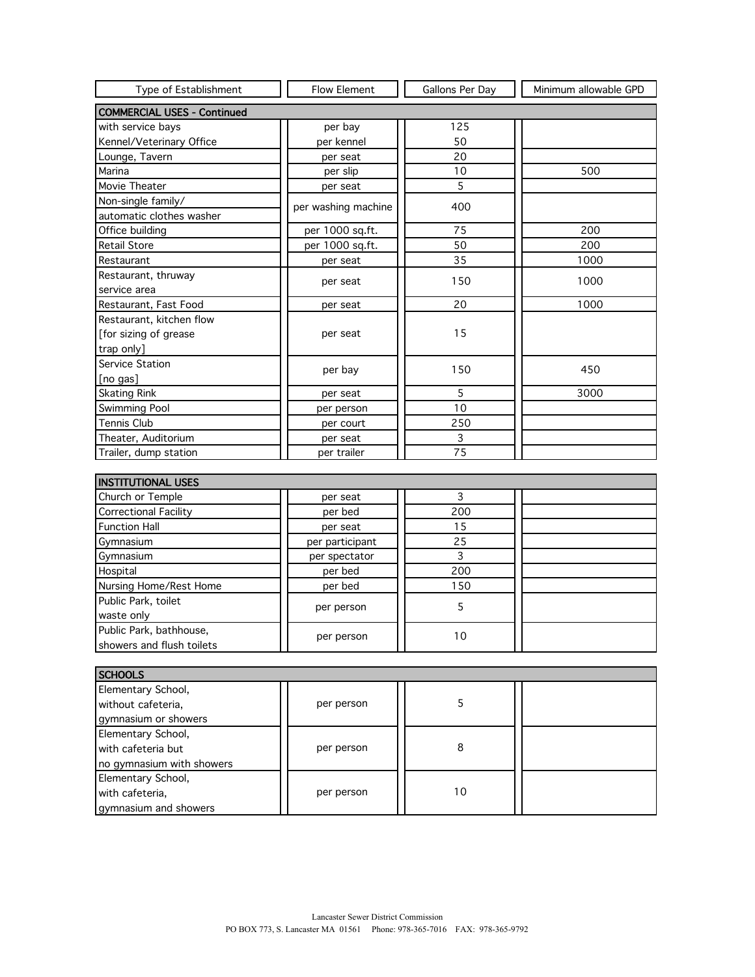| Type of Establishment              | <b>Flow Element</b> | Gallons Per Day | Minimum allowable GPD |
|------------------------------------|---------------------|-----------------|-----------------------|
| <b>COMMERCIAL USES - Continued</b> |                     |                 |                       |
| with service bays                  | per bay             | 125             |                       |
| Kennel/Veterinary Office           | per kennel          | 50              |                       |
| Lounge, Tavern                     | per seat            | 20              |                       |
| Marina                             | per slip            | 10              | 500                   |
| Movie Theater                      | per seat            | 5               |                       |
| Non-single family/                 | per washing machine | 400             |                       |
| automatic clothes washer           |                     |                 |                       |
| Office building                    | per 1000 sq.ft.     | 75              | 200                   |
| <b>Retail Store</b>                | per 1000 sq.ft.     | 50              | 200                   |
| Restaurant                         | per seat            | 35              | 1000                  |
| Restaurant, thruway                | per seat            | 150             | 1000                  |
| service area                       |                     |                 |                       |
| Restaurant, Fast Food              | per seat            | 20              | 1000                  |
| Restaurant, kitchen flow           |                     |                 |                       |
| [for sizing of grease              | per seat            | 15              |                       |
| trap only]                         |                     |                 |                       |
| Service Station                    | per bay             | 150             | 450                   |
| [no gas]                           |                     |                 |                       |
| <b>Skating Rink</b>                | per seat            | 5               | 3000                  |
| <b>Swimming Pool</b>               | per person          | 10              |                       |
| <b>Tennis Club</b>                 | per court           | 250             |                       |
| Theater, Auditorium                | per seat            | 3               |                       |
| Trailer, dump station              | per trailer         | 75              |                       |
|                                    |                     |                 |                       |
| <b>INSTITUTIONAL USES</b>          |                     |                 |                       |
| Church or Temple                   | per seat            | 3               |                       |
| <b>Correctional Facility</b>       | per bed             | 200             |                       |
| <b>Function Hall</b>               | per seat            | 15              |                       |
| Gymnasium                          | per participant     | 25              |                       |
| Gymnasium                          | ner snectator       | $\mathbf{R}$    |                       |

| Gymnasium                 | per participant | 25  |  |
|---------------------------|-----------------|-----|--|
| Gymnasium                 | per spectator   |     |  |
| Hospital                  | per bed         | 200 |  |
| Nursing Home/Rest Home    | per bed         | 150 |  |
| Public Park, toilet       | per person      |     |  |
| waste only                |                 |     |  |
| Public Park, bathhouse,   | per person      | 10  |  |
| showers and flush toilets |                 |     |  |

| <b>SCHOOLS</b>            |            |    |  |
|---------------------------|------------|----|--|
| Elementary School,        |            |    |  |
| without cafeteria,        | per person |    |  |
| gymnasium or showers      |            |    |  |
| Elementary School,        |            |    |  |
| with cafeteria but        | per person | 8  |  |
| no gymnasium with showers |            |    |  |
| Elementary School,        |            |    |  |
| with cafeteria,           | per person | 10 |  |
| gymnasium and showers     |            |    |  |